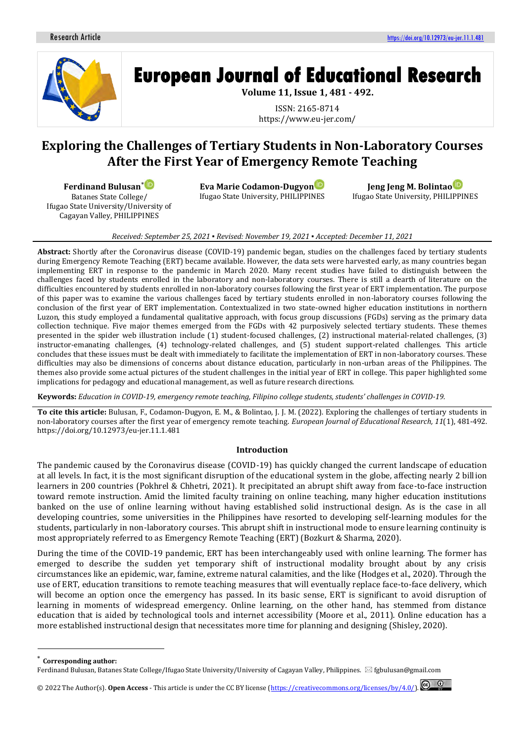

# **European Journal of Educational Research**

**Volume 11, Issue 1, 481 - 492.**

ISSN: 2165-8714 https://www.eu-jer.com/

# **Exploring the Challenges of Tertiary Students in Non-Laboratory Courses After the First Year of Emergency Remote Teaching**

**Ferdinand Bulusan**[\\*](https://orcid.org/0000-0002-8816-2308)

Batanes State College/ Ifugao State University/University of Cagayan Valley, PHILIPPINES

**Eva Marie Codamon-Dugyo[n](https://orcid.org/0000-0002-2115-1102)** Ifugao State University, PHILIPPINES

**Jeng Jeng M. Bolinta[o](https://orcid.org/0000-0002-0892-4684)** Ifugao State University, PHILIPPINES

#### *Received: September 25, 2021 ▪ Revised: November 19, 2021 ▪ Accepted: December 11, 2021*

**Abstract:** Shortly after the Coronavirus disease (COVID-19) pandemic began, studies on the challenges faced by tertiary students during Emergency Remote Teaching (ERT) became available. However, the data sets were harvested early, as many countries began implementing ERT in response to the pandemic in March 2020. Many recent studies have failed to distinguish between the challenges faced by students enrolled in the laboratory and non-laboratory courses. There is still a dearth of literature on the difficulties encountered by students enrolled in non-laboratory courses following the first year of ERT implementation. The purpose of this paper was to examine the various challenges faced by tertiary students enrolled in non-laboratory courses following the conclusion of the first year of ERT implementation. Contextualized in two state-owned higher education institutions in northern Luzon, this study employed a fundamental qualitative approach, with focus group discussions (FGDs) serving as the primary data collection technique. Five major themes emerged from the FGDs with 42 purposively selected tertiary students. These themes presented in the spider web illustration include (1) student-focused challenges, (2) instructional material-related challenges, (3) instructor-emanating challenges, (4) technology-related challenges, and (5) student support-related challenges. This article concludes that these issues must be dealt with immediately to facilitate the implementation of ERT in non-laboratory courses. These difficulties may also be dimensions of concerns about distance education, particularly in non-urban areas of the Philippines. The themes also provide some actual pictures of the student challenges in the initial year of ERT in college. This paper highlighted some implications for pedagogy and educational management, as well as future research directions.

**Keywords:** *Education in COVID-19, emergency remote teaching, Filipino college students, students' challenges in COVID-19.*

**To cite this article:** Bulusan, F., Codamon-Dugyon, E. M., & Bolintao, J. J. M. (2022). Exploring the challenges of tertiary students in non-laboratory courses after the first year of emergency remote teaching. *European Journal of Educational Research, 11*(1), 481-492. https://doi.org/10.12973/eu-jer.11.1.481

#### **Introduction**

The pandemic caused by the Coronavirus disease (COVID-19) has quickly changed the current landscape of education at all levels. In fact, it is the most significant disruption of the educational system in the globe, affecting nearly 2 billion learners in 200 countries (Pokhrel & Chhetri, 2021). It precipitated an abrupt shift away from face-to-face instruction toward remote instruction. Amid the limited faculty training on online teaching, many higher education institutions banked on the use of online learning without having established solid instructional design. As is the case in all developing countries, some universities in the Philippines have resorted to developing self-learning modules for the students, particularly in non-laboratory courses. This abrupt shift in instructional mode to ensure learning continuity is most appropriately referred to as Emergency Remote Teaching (ERT) (Bozkurt & Sharma, 2020).

During the time of the COVID-19 pandemic, ERT has been interchangeably used with online learning. The former has emerged to describe the sudden yet temporary shift of instructional modality brought about by any crisis circumstances like an epidemic, war, famine, extreme natural calamities, and the like (Hodges et al., 2020). Through the use of ERT, education transitions to remote teaching measures that will eventually replace face-to-face delivery, which will become an option once the emergency has passed. In its basic sense, ERT is significant to avoid disruption of learning in moments of widespread emergency. Online learning, on the other hand, has stemmed from distance education that is aided by technological tools and internet accessibility (Moore et al., 2011). Online education has a more established instructional design that necessitates more time for planning and designing (Shisley, 2020).

© 2022 The Author(s). **Open Access** - This article is under the CC BY license [\(https://creativecommons.org/licenses/by/4.0/\)](https://creativecommons.org/licenses/by/4.0/).

**Corresponding author:** 

Ferdinand Bulusan, Batanes State College/Ifugao State University/University of Cagayan Valley, Philippines. *Sigbulusan@gmail.com*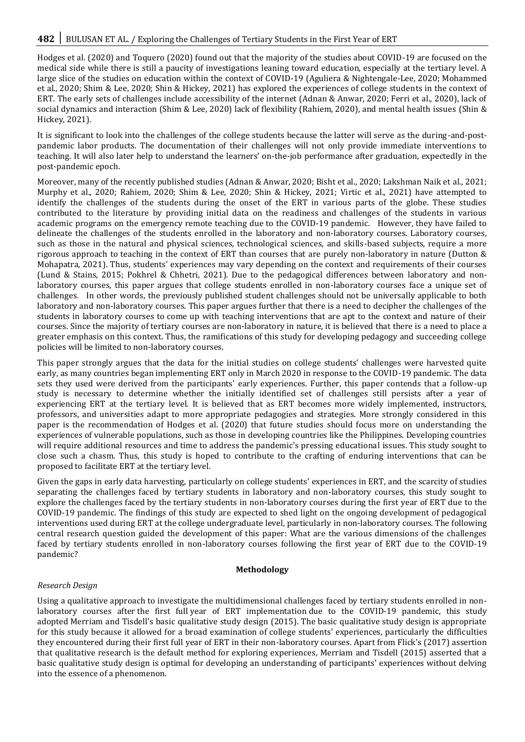Hodges et al. (2020) and Toquero (2020) found out that the majority of the studies about COVID-19 are focused on the medical side while there is still a paucity of investigations leaning toward education, especially at the tertiary level. A large slice of the studies on education within the context of COVID-19 (Aguliera & Nightengale-Lee, 2020; Mohammed et al., 2020; Shim & Lee, 2020; Shin & Hickey, 2021) has explored the experiences of college students in the context of ERT. The early sets of challenges include accessibility of the internet (Adnan & Anwar, 2020; Ferri et al., 2020), lack of social dynamics and interaction (Shim & Lee, 2020) lack of flexibility (Rahiem, 2020), and mental health issues (Shin & Hickey, 2021).

It is significant to look into the challenges of the college students because the latter will serve as the during-and-postpandemic labor products. The documentation of their challenges will not only provide immediate interventions to teaching. It will also later help to understand the learners' on-the-job performance after graduation, expectedly in the post-pandemic epoch.

Moreover, many of the recently published studies (Adnan & Anwar, 2020; Bisht et al., 2020; Lakshman Naik et al., 2021; Murphy et al., 2020; Rahiem, 2020; Shim & Lee, 2020; Shin & Hickey, 2021; Virtic et al., 2021) have attempted to identify the challenges of the students during the onset of the ERT in various parts of the globe. These studies contributed to the literature by providing initial data on the readiness and challenges of the students in various academic programs on the emergency remote teaching due to the COVID-19 pandemic. However, they have failed to delineate the challenges of the students enrolled in the laboratory and non-laboratory courses. Laboratory courses, such as those in the natural and physical sciences, technological sciences, and skills-based subjects, require a more rigorous approach to teaching in the context of ERT than courses that are purely non-laboratory in nature (Dutton & Mohapatra, 2021). Thus, students' experiences may vary depending on the context and requirements of their courses (Lund & Stains, 2015; Pokhrel & Chhetri, 2021). Due to the pedagogical differences between laboratory and nonlaboratory courses, this paper argues that college students enrolled in non-laboratory courses face a unique set of challenges. In other words, the previously published student challenges should not be universally applicable to both laboratory and non-laboratory courses. This paper argues further that there is a need to decipher the challenges of the students in laboratory courses to come up with teaching interventions that are apt to the context and nature of their courses. Since the majority of tertiary courses are non-laboratory in nature, it is believed that there is a need to place a greater emphasis on this context. Thus, the ramifications of this study for developing pedagogy and succeeding college policies will be limited to non-laboratory courses.

This paper strongly argues that the data for the initial studies on college students' challenges were harvested quite early, as many countries began implementing ERT only in March 2020 in response to the COVID-19 pandemic. The data sets they used were derived from the participants' early experiences. Further, this paper contends that a follow-up study is necessary to determine whether the initially identified set of challenges still persists after a year of experiencing ERT at the tertiary level. It is believed that as ERT becomes more widely implemented, instructors, professors, and universities adapt to more appropriate pedagogies and strategies. More strongly considered in this paper is the recommendation of Hodges et al. (2020) that future studies should focus more on understanding the experiences of vulnerable populations, such as those in developing countries like the Philippines. Developing countries will require additional resources and time to address the pandemic's pressing educational issues. This study sought to close such a chasm. Thus, this study is hoped to contribute to the crafting of enduring interventions that can be proposed to facilitate ERT at the tertiary level.

Given the gaps in early data harvesting, particularly on college students' experiences in ERT, and the scarcity of studies separating the challenges faced by tertiary students in laboratory and non-laboratory courses, this study sought to explore the challenges faced by the tertiary students in non-laboratory courses during the first year of ERT due to the COVID-19 pandemic. The findings of this study are expected to shed light on the ongoing development of pedagogical interventions used during ERT at the college undergraduate level, particularly in non-laboratory courses. The following central research question guided the development of this paper: What are the various dimensions of the challenges faced by tertiary students enrolled in non-laboratory courses following the first year of ERT due to the COVID-19 pandemic?

#### **Methodology**

#### *Research Design*

Using a qualitative approach to investigate the multidimensional challenges faced by tertiary students enrolled in nonlaboratory courses after the first full year of ERT implementation due to the COVID-19 pandemic, this study adopted Merriam and Tisdell's basic qualitative study design (2015). The basic qualitative study design is appropriate for this study because it allowed for a broad examination of college students' experiences, particularly the difficulties they encountered during their first full year of ERT in their non-laboratory courses. Apart from Flick's (2017) assertion that qualitative research is the default method for exploring experiences, Merriam and Tisdell (2015) asserted that a basic qualitative study design is optimal for developing an understanding of participants' experiences without delving into the essence of a phenomenon.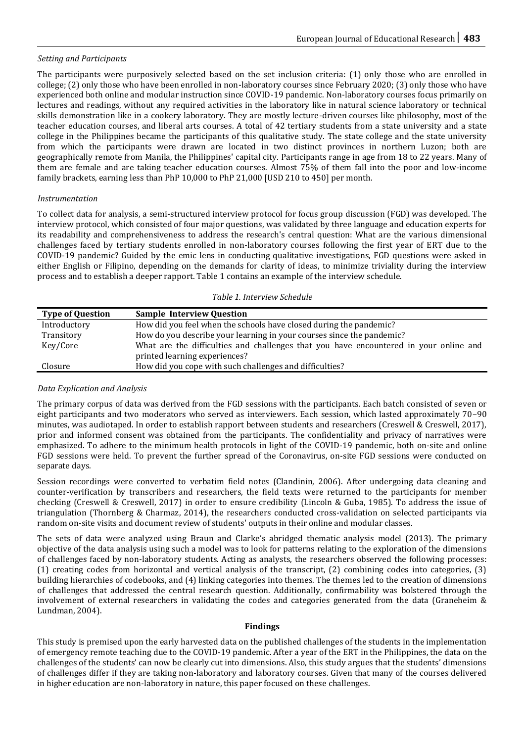# *Setting and Participants*

The participants were purposively selected based on the set inclusion criteria: (1) only those who are enrolled in college; (2) only those who have been enrolled in non-laboratory courses since February 2020; (3) only those who have experienced both online and modular instruction since COVID-19 pandemic. Non-laboratory courses focus primarily on lectures and readings, without any required activities in the laboratory like in natural science laboratory or technical skills demonstration like in a cookery laboratory. They are mostly lecture-driven courses like philosophy, most of the teacher education courses, and liberal arts courses. A total of 42 tertiary students from a state university and a state college in the Philippines became the participants of this qualitative study. The state college and the state university from which the participants were drawn are located in two distinct provinces in northern Luzon; both are geographically remote from Manila, the Philippines' capital city. Participants range in age from 18 to 22 years. Many of them are female and are taking teacher education courses. Almost 75% of them fall into the poor and low-income family brackets, earning less than PhP 10,000 to PhP 21,000 [USD 210 to 450] per month.

# *Instrumentation*

To collect data for analysis, a semi-structured interview protocol for focus group discussion (FGD) was developed. The interview protocol, which consisted of four major questions, was validated by three language and education experts for its readability and comprehensiveness to address the research's central question: What are the various dimensional challenges faced by tertiary students enrolled in non-laboratory courses following the first year of ERT due to the COVID-19 pandemic? Guided by the emic lens in conducting qualitative investigations, FGD questions were asked in either English or Filipino, depending on the demands for clarity of ideas, to minimize triviality during the interview process and to establish a deeper rapport. Table 1 contains an example of the interview schedule.

#### *Table 1. Interview Schedule*

| <b>Type of Question</b> | <b>Sample Interview Question</b>                                                      |
|-------------------------|---------------------------------------------------------------------------------------|
| Introductory            | How did you feel when the schools have closed during the pandemic?                    |
| Transitory              | How do you describe your learning in your courses since the pandemic?                 |
| Key/Core                | What are the difficulties and challenges that you have encountered in your online and |
|                         | printed learning experiences?                                                         |
| Closure                 | How did you cope with such challenges and difficulties?                               |

# *Data Explication and Analysis*

The primary corpus of data was derived from the FGD sessions with the participants. Each batch consisted of seven or eight participants and two moderators who served as interviewers. Each session, which lasted approximately 70–90 minutes, was audiotaped. In order to establish rapport between students and researchers (Creswell & Creswell, 2017), prior and informed consent was obtained from the participants. The confidentiality and privacy of narratives were emphasized. To adhere to the minimum health protocols in light of the COVID-19 pandemic, both on-site and online FGD sessions were held. To prevent the further spread of the Coronavirus, on-site FGD sessions were conducted on separate days.

Session recordings were converted to verbatim field notes (Clandinin, 2006). After undergoing data cleaning and counter-verification by transcribers and researchers, the field texts were returned to the participants for member checking (Creswell & Creswell, 2017) in order to ensure credibility (Lincoln & Guba, 1985). To address the issue of triangulation (Thornberg & Charmaz, 2014), the researchers conducted cross-validation on selected participants via random on-site visits and document review of students' outputs in their online and modular classes.

The sets of data were analyzed using Braun and Clarke's abridged thematic analysis model (2013). The primary objective of the data analysis using such a model was to look for patterns relating to the exploration of the dimensions of challenges faced by non-laboratory students. Acting as analysts, the researchers observed the following processes: (1) creating codes from horizontal and vertical analysis of the transcript, (2) combining codes into categories, (3) building hierarchies of codebooks, and (4) linking categories into themes. The themes led to the creation of dimensions of challenges that addressed the central research question. Additionally, confirmability was bolstered through the involvement of external researchers in validating the codes and categories generated from the data (Graneheim & Lundman, 2004).

#### **Findings**

This study is premised upon the early harvested data on the published challenges of the students in the implementation of emergency remote teaching due to the COVID-19 pandemic. After a year of the ERT in the Philippines, the data on the challenges of the students' can now be clearly cut into dimensions. Also, this study argues that the students' dimensions of challenges differ if they are taking non-laboratory and laboratory courses. Given that many of the courses delivered in higher education are non-laboratory in nature, this paper focused on these challenges.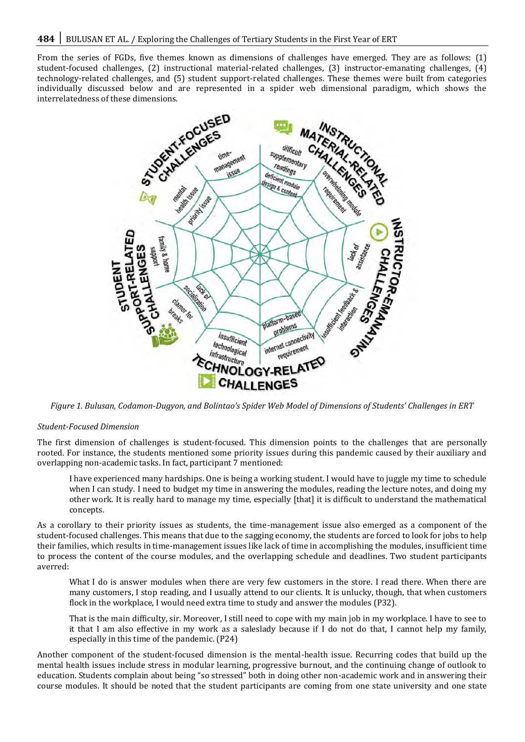From the series of FGDs, five themes known as dimensions of challenges have emerged. They are as follows: (1) student-focused challenges, (2) instructional material-related challenges, (3) instructor-emanating challenges, (4) technology-related challenges, and (5) student support-related challenges. These themes were built from categories interrelatedness of these dimensions.



*Figure 1. Bulusan, Codamon-Dugyon, and Bolintao's Spider Web Model of Dimensions of Students' Challenges in ERT*

#### *Student-Focused Dimension*

The first dimension of challenges is student-focused. This dimension points to the challenges that are personally rooted. For instance, the students mentioned some priority issues during this pandemic caused by their auxiliary and overlapping non-academic tasks. In fact, participant 7 mentioned:

I have experienced many hardships. One is being a working student. I would have to juggle my time to schedule when I can study. I need to budget my time in answering the modules, reading the lecture notes, and doing my other work*.* It is really hard to manage my time, especially [that] it is difficult to understand the mathematical concepts.

As a corollary to their priority issues as students, the time-management issue also emerged as a component of the student-focused challenges. This means that due to the sagging economy, the students are forced to look for jobs to help their families, which results in time-management issues like lack of time in accomplishing the modules, insufficient time to process the content of the course modules, and the overlapping schedule and deadlines. Two student participants averred:

What I do is answer modules when there are very few customers in the store. I read there. When there are many customers, I stop reading, and I usually attend to our clients. It is unlucky, though, that when customers flock in the workplace, I would need extra time to study and answer the modules (P32).

That is the main difficulty, sir. Moreover, I still need to cope with my main job in my workplace. I have to see to it that I am also effective in my work as a saleslady because if I do not do that, I cannot help my family, especially in this time of the pandemic. (P24)

Another component of the student-focused dimension is the mental-health issue. Recurring codes that build up the mental health issues include stress in modular learning, progressive burnout, and the continuing change of outlook to education. Students complain about being "so stressed" both in doing other non-academic work and in answering their course modules. It should be noted that the student participants are coming from one state university and one state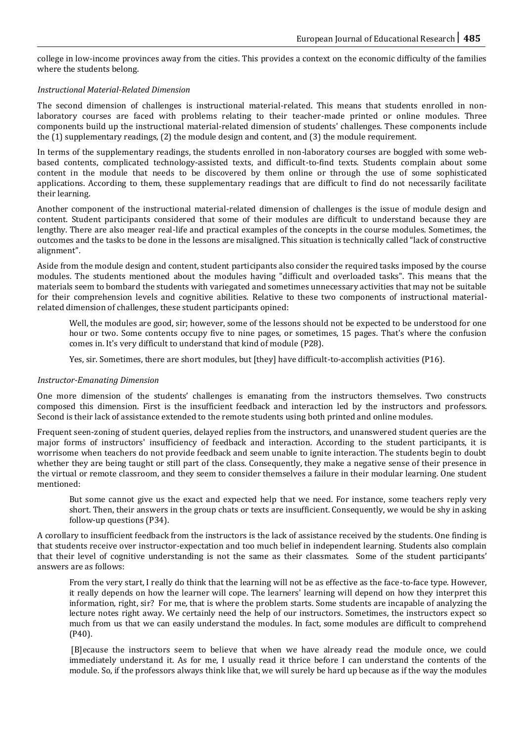college in low-income provinces away from the cities. This provides a context on the economic difficulty of the families where the students belong.

## *Instructional Material-Related Dimension*

The second dimension of challenges is instructional material-related. This means that students enrolled in nonlaboratory courses are faced with problems relating to their teacher-made printed or online modules. Three components build up the instructional material-related dimension of students' challenges. These components include the (1) supplementary readings, (2) the module design and content, and (3) the module requirement.

In terms of the supplementary readings, the students enrolled in non-laboratory courses are boggled with some webbased contents, complicated technology-assisted texts, and difficult-to-find texts. Students complain about some content in the module that needs to be discovered by them online or through the use of some sophisticated applications. According to them, these supplementary readings that are difficult to find do not necessarily facilitate their learning.

Another component of the instructional material-related dimension of challenges is the issue of module design and content. Student participants considered that some of their modules are difficult to understand because they are lengthy. There are also meager real-life and practical examples of the concepts in the course modules. Sometimes, the outcomes and the tasks to be done in the lessons are misaligned. This situation is technically called "lack of constructive alignment".

Aside from the module design and content, student participants also consider the required tasks imposed by the course modules. The students mentioned about the modules having "difficult and overloaded tasks". This means that the materials seem to bombard the students with variegated and sometimes unnecessary activities that may not be suitable for their comprehension levels and cognitive abilities. Relative to these two components of instructional materialrelated dimension of challenges, these student participants opined:

Well, the modules are good, sir; however, some of the lessons should not be expected to be understood for one hour or two. Some contents occupy five to nine pages, or sometimes, 15 pages. That's where the confusion comes in. It's very difficult to understand that kind of module (P28).

Yes, sir. Sometimes, there are short modules, but [they] have difficult-to-accomplish activities (P16).

#### *Instructor-Emanating Dimension*

One more dimension of the students' challenges is emanating from the instructors themselves. Two constructs composed this dimension. First is the insufficient feedback and interaction led by the instructors and professors. Second is their lack of assistance extended to the remote students using both printed and online modules.

Frequent seen-zoning of student queries, delayed replies from the instructors, and unanswered student queries are the major forms of instructors' insufficiency of feedback and interaction. According to the student participants, it is worrisome when teachers do not provide feedback and seem unable to ignite interaction. The students begin to doubt whether they are being taught or still part of the class. Consequently, they make a negative sense of their presence in the virtual or remote classroom, and they seem to consider themselves a failure in their modular learning. One student mentioned:

But some cannot give us the exact and expected help that we need. For instance, some teachers reply very short. Then, their answers in the group chats or texts are insufficient. Consequently, we would be shy in asking follow-up questions (P34).

A corollary to insufficient feedback from the instructors is the lack of assistance received by the students. One finding is that students receive over instructor-expectation and too much belief in independent learning. Students also complain that their level of cognitive understanding is not the same as their classmates. Some of the student participants' answers are as follows:

From the very start, I really do think that the learning will not be as effective as the face-to-face type. However, it really depends on how the learner will cope. The learners' learning will depend on how they interpret this information, right, sir? For me*,* that is where the problem starts. Some students are incapable of analyzing the lecture notes right away. We certainly need the help of our instructors. Sometimes, the instructors expect so much from us that we can easily understand the modules. In fact, some modules are difficult to comprehend (P40).

[B]ecause the instructors seem to believe that when we have already read the module once, we could immediately understand it. As for me, I usually read it thrice before I can understand the contents of the module. So, if the professors always think like that, we will surely be hard up because as if the way the modules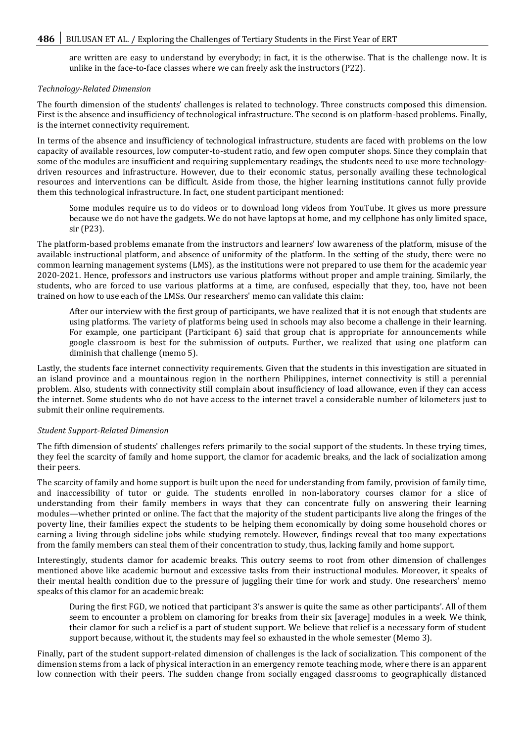are written are easy to understand by everybody; in fact, it is the otherwise. That is the challenge now. It is unlike in the face-to-face classes where we can freely ask the instructors (P22).

#### *Technology-Related Dimension*

The fourth dimension of the students' challenges is related to technology. Three constructs composed this dimension. First is the absence and insufficiency of technological infrastructure. The second is on platform-based problems. Finally, is the internet connectivity requirement.

In terms of the absence and insufficiency of technological infrastructure, students are faced with problems on the low capacity of available resources, low computer-to-student ratio, and few open computer shops. Since they complain that some of the modules are insufficient and requiring supplementary readings, the students need to use more technologydriven resources and infrastructure. However, due to their economic status, personally availing these technological resources and interventions can be difficult. Aside from those, the higher learning institutions cannot fully provide them this technological infrastructure. In fact, one student participant mentioned:

Some modules require us to do videos or to download long videos from YouTube. It gives us more pressure because we do not have the gadgets. We do not have laptops at home, and my cellphone has only limited space, sir (P23).

The platform-based problems emanate from the instructors and learners' low awareness of the platform, misuse of the available instructional platform, and absence of uniformity of the platform. In the setting of the study, there were no common learning management systems (LMS), as the institutions were not prepared to use them for the academic year 2020-2021. Hence, professors and instructors use various platforms without proper and ample training. Similarly, the students, who are forced to use various platforms at a time, are confused, especially that they, too, have not been trained on how to use each of the LMSs. Our researchers' memo can validate this claim:

After our interview with the first group of participants, we have realized that it is not enough that students are using platforms. The variety of platforms being used in schools may also become a challenge in their learning. For example, one participant (Participant 6) said that group chat is appropriate for announcements while google classroom is best for the submission of outputs. Further, we realized that using one platform can diminish that challenge (memo 5).

Lastly, the students face internet connectivity requirements. Given that the students in this investigation are situated in an island province and a mountainous region in the northern Philippines, internet connectivity is still a perennial problem. Also, students with connectivity still complain about insufficiency of load allowance, even if they can access the internet. Some students who do not have access to the internet travel a considerable number of kilometers just to submit their online requirements.

#### *Student Support-Related Dimension*

The fifth dimension of students' challenges refers primarily to the social support of the students. In these trying times, they feel the scarcity of family and home support, the clamor for academic breaks, and the lack of socialization among their peers.

The scarcity of family and home support is built upon the need for understanding from family, provision of family time, and inaccessibility of tutor or guide. The students enrolled in non-laboratory courses clamor for a slice of understanding from their family members in ways that they can concentrate fully on answering their learning modules—whether printed or online. The fact that the majority of the student participants live along the fringes of the poverty line, their families expect the students to be helping them economically by doing some household chores or earning a living through sideline jobs while studying remotely. However, findings reveal that too many expectations from the family members can steal them of their concentration to study, thus, lacking family and home support.

Interestingly, students clamor for academic breaks. This outcry seems to root from other dimension of challenges mentioned above like academic burnout and excessive tasks from their instructional modules. Moreover, it speaks of their mental health condition due to the pressure of juggling their time for work and study. One researchers' memo speaks of this clamor for an academic break:

During the first FGD, we noticed that participant 3's answer is quite the same as other participants'. All of them seem to encounter a problem on clamoring for breaks from their six [average] modules in a week. We think, their clamor for such a relief is a part of student support. We believe that relief is a necessary form of student support because, without it, the students may feel so exhausted in the whole semester (Memo 3).

Finally, part of the student support-related dimension of challenges is the lack of socialization. This component of the dimension stems from a lack of physical interaction in an emergency remote teaching mode, where there is an apparent low connection with their peers. The sudden change from socially engaged classrooms to geographically distanced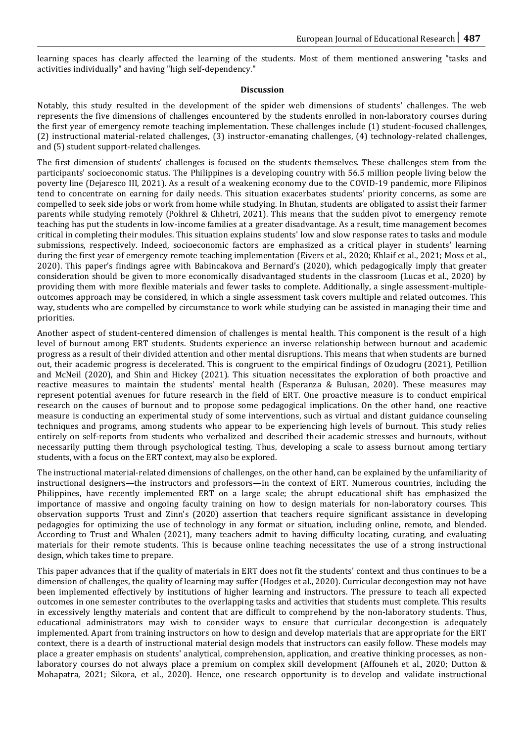learning spaces has clearly affected the learning of the students. Most of them mentioned answering "tasks and activities individually" and having "high self-dependency."

#### **Discussion**

Notably, this study resulted in the development of the spider web dimensions of students' challenges. The web represents the five dimensions of challenges encountered by the students enrolled in non-laboratory courses during the first year of emergency remote teaching implementation. These challenges include (1) student-focused challenges, (2) instructional material-related challenges, (3) instructor-emanating challenges, (4) technology-related challenges, and (5) student support-related challenges.

The first dimension of students' challenges is focused on the students themselves. These challenges stem from the participants' socioeconomic status. The Philippines is a developing country with 56.5 million people living below the poverty line (Dejaresco III, 2021). As a result of a weakening economy due to the COVID-19 pandemic, more Filipinos tend to concentrate on earning for daily needs. This situation exacerbates students' priority concerns, as some are compelled to seek side jobs or work from home while studying. In Bhutan, students are obligated to assist their farmer parents while studying remotely (Pokhrel & Chhetri, 2021). This means that the sudden pivot to emergency remote teaching has put the students in low-income families at a greater disadvantage. As a result, time management becomes critical in completing their modules. This situation explains students' low and slow response rates to tasks and module submissions, respectively. Indeed, socioeconomic factors are emphasized as a critical player in students' learning during the first year of emergency remote teaching implementation (Eivers et al., 2020; Khlaif et al., 2021; Moss et al., 2020). This paper's findings agree with Babincakova and Bernard's (2020), which pedagogically imply that greater consideration should be given to more economically disadvantaged students in the classroom (Lucas et al., 2020) by providing them with more flexible materials and fewer tasks to complete. Additionally, a single assessment-multipleoutcomes approach may be considered, in which a single assessment task covers multiple and related outcomes. This way, students who are compelled by circumstance to work while studying can be assisted in managing their time and priorities.

Another aspect of student-centered dimension of challenges is mental health. This component is the result of a high level of burnout among ERT students. Students experience an inverse relationship between burnout and academic progress as a result of their divided attention and other mental disruptions. This means that when students are burned out, their academic progress is decelerated. This is congruent to the empirical findings of Ozudogru (2021), Petillion and McNeil (2020), and Shin and Hickey (2021). This situation necessitates the exploration of both proactive and reactive measures to maintain the students' mental health (Esperanza & Bulusan, 2020). These measures may represent potential avenues for future research in the field of ERT. One proactive measure is to conduct empirical research on the causes of burnout and to propose some pedagogical implications. On the other hand, one reactive measure is conducting an experimental study of some interventions, such as virtual and distant guidance counseling techniques and programs, among students who appear to be experiencing high levels of burnout. This study relies entirely on self-reports from students who verbalized and described their academic stresses and burnouts, without necessarily putting them through psychological testing. Thus, developing a scale to assess burnout among tertiary students, with a focus on the ERT context, may also be explored.

The instructional material-related dimensions of challenges, on the other hand, can be explained by the unfamiliarity of instructional designers—the instructors and professors—in the context of ERT. Numerous countries, including the Philippines, have recently implemented ERT on a large scale; the abrupt educational shift has emphasized the importance of massive and ongoing faculty training on how to design materials for non-laboratory courses. This observation supports Trust and Zinn's (2020) assertion that teachers require significant assistance in developing pedagogies for optimizing the use of technology in any format or situation, including online, remote, and blended. According to Trust and Whalen (2021), many teachers admit to having difficulty locating, curating, and evaluating materials for their remote students. This is because online teaching necessitates the use of a strong instructional design, which takes time to prepare.

This paper advances that if the quality of materials in ERT does not fit the students' context and thus continues to be a dimension of challenges, the quality of learning may suffer (Hodges et al., 2020). Curricular decongestion may not have been implemented effectively by institutions of higher learning and instructors. The pressure to teach all expected outcomes in one semester contributes to the overlapping tasks and activities that students must complete. This results in excessively lengthy materials and content that are difficult to comprehend by the non-laboratory students. Thus, educational administrators may wish to consider ways to ensure that curricular decongestion is adequately implemented. Apart from training instructors on how to design and develop materials that are appropriate for the ERT context, there is a dearth of instructional material design models that instructors can easily follow. These models may place a greater emphasis on students' analytical, comprehension, application, and creative thinking processes, as nonlaboratory courses do not always place a premium on complex skill development (Affouneh et al., 2020; Dutton & Mohapatra, 2021; Sikora, et al., 2020). Hence, one research opportunity is to develop and validate instructional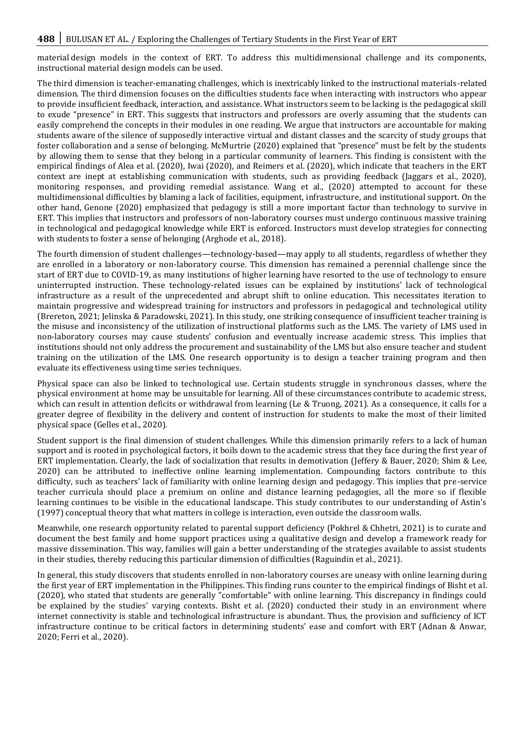material design models in the context of ERT. To address this multidimensional challenge and its components, instructional material design models can be used.

The third dimension is teacher-emanating challenges, which is inextricably linked to the instructional materials-related dimension. The third dimension focuses on the difficulties students face when interacting with instructors who appear to provide insufficient feedback, interaction, and assistance. What instructors seem to be lacking is the pedagogical skill to exude "presence" in ERT. This suggests that instructors and professors are overly assuming that the students can easily comprehend the concepts in their modules in one reading. We argue that instructors are accountable for making students aware of the silence of supposedly interactive virtual and distant classes and the scarcity of study groups that foster collaboration and a sense of belonging. McMurtrie (2020) explained that "presence" must be felt by the students by allowing them to sense that they belong in a particular community of learners. This finding is consistent with the empirical findings of Alea et al. (2020), Iwai (2020), and Reimers et al. (2020), which indicate that teachers in the ERT context are inept at establishing communication with students, such as providing feedback (Jaggars et al., 2020), monitoring responses, and providing remedial assistance. Wang et al., (2020) attempted to account for these multidimensional difficulties by blaming a lack of facilities, equipment, infrastructure, and institutional support. On the other hand, Genone (2020) emphasized that pedagogy is still a more important factor than technology to survive in ERT. This implies that instructors and professors of non-laboratory courses must undergo continuous massive training in technological and pedagogical knowledge while ERT is enforced. Instructors must develop strategies for connecting with students to foster a sense of belonging (Arghode et al., 2018).

The fourth dimension of student challenges—technology-based—may apply to all students, regardless of whether they are enrolled in a laboratory or non-laboratory course. This dimension has remained a perennial challenge since the start of ERT due to COVID-19, as many institutions of higher learning have resorted to the use of technology to ensure uninterrupted instruction. These technology-related issues can be explained by institutions' lack of technological infrastructure as a result of the unprecedented and abrupt shift to online education. This necessitates iteration to maintain progressive and widespread training for instructors and professors in pedagogical and technological utility (Brereton, 2021; Jelinska & Paradowski, 2021). In this study, one striking consequence of insufficient teacher training is the misuse and inconsistency of the utilization of instructional platforms such as the LMS. The variety of LMS used in non-laboratory courses may cause students' confusion and eventually increase academic stress. This implies that institutions should not only address the procurement and sustainability of the LMS but also ensure teacher and student training on the utilization of the LMS. One research opportunity is to design a teacher training program and then evaluate its effectiveness using time series techniques.

Physical space can also be linked to technological use. Certain students struggle in synchronous classes, where the physical environment at home may be unsuitable for learning. All of these circumstances contribute to academic stress, which can result in attention deficits or withdrawal from learning (Le & Truong, 2021). As a consequence, it calls for a greater degree of flexibility in the delivery and content of instruction for students to make the most of their limited physical space (Gelles et al., 2020).

Student support is the final dimension of student challenges. While this dimension primarily refers to a lack of human support and is rooted in psychological factors, it boils down to the academic stress that they face during the first year of ERT implementation. Clearly, the lack of socialization that results in demotivation (Jeffery & Bauer, 2020; Shim & Lee, 2020) can be attributed to ineffective online learning implementation. Compounding factors contribute to this difficulty, such as teachers' lack of familiarity with online learning design and pedagogy. This implies that pre-service teacher curricula should place a premium on online and distance learning pedagogies, all the more so if flexible learning continues to be visible in the educational landscape. This study contributes to our understanding of Astin's (1997) conceptual theory that what matters in college is interaction, even outside the classroom walls.

Meanwhile, one research opportunity related to parental support deficiency (Pokhrel & Chhetri, 2021) is to curate and document the best family and home support practices using a qualitative design and develop a framework ready for massive dissemination. This way, families will gain a better understanding of the strategies available to assist students in their studies, thereby reducing this particular dimension of difficulties (Raguindin et al., 2021).

In general, this study discovers that students enrolled in non-laboratory courses are uneasy with online learning during the first year of ERT implementation in the Philippines. This finding runs counter to the empirical findings of Bisht et al. (2020), who stated that students are generally "comfortable" with online learning. This discrepancy in findings could be explained by the studies' varying contexts. Bisht et al. (2020) conducted their study in an environment where internet connectivity is stable and technological infrastructure is abundant. Thus, the provision and sufficiency of ICT infrastructure continue to be critical factors in determining students' ease and comfort with ERT (Adnan & Anwar, 2020; Ferri et al., 2020).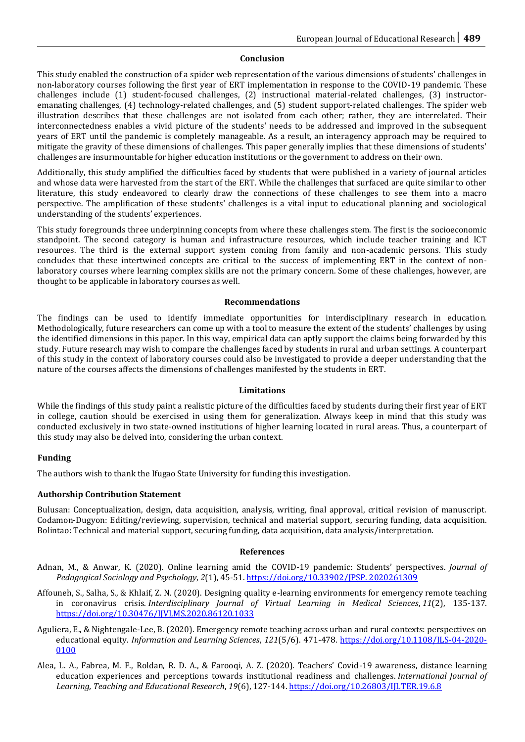## **Conclusion**

This study enabled the construction of a spider web representation of the various dimensions of students' challenges in non-laboratory courses following the first year of ERT implementation in response to the COVID-19 pandemic. These challenges include (1) student-focused challenges, (2) instructional material-related challenges, (3) instructoremanating challenges, (4) technology-related challenges, and (5) student support-related challenges. The spider web illustration describes that these challenges are not isolated from each other; rather, they are interrelated. Their interconnectedness enables a vivid picture of the students' needs to be addressed and improved in the subsequent years of ERT until the pandemic is completely manageable. As a result, an interagency approach may be required to mitigate the gravity of these dimensions of challenges. This paper generally implies that these dimensions of students' challenges are insurmountable for higher education institutions or the government to address on their own.

Additionally, this study amplified the difficulties faced by students that were published in a variety of journal articles and whose data were harvested from the start of the ERT. While the challenges that surfaced are quite similar to other literature, this study endeavored to clearly draw the connections of these challenges to see them into a macro perspective. The amplification of these students' challenges is a vital input to educational planning and sociological understanding of the students' experiences.

This study foregrounds three underpinning concepts from where these challenges stem. The first is the socioeconomic standpoint. The second category is human and infrastructure resources, which include teacher training and ICT resources. The third is the external support system coming from family and non-academic persons. This study concludes that these intertwined concepts are critical to the success of implementing ERT in the context of nonlaboratory courses where learning complex skills are not the primary concern. Some of these challenges, however, are thought to be applicable in laboratory courses as well.

#### **Recommendations**

The findings can be used to identify immediate opportunities for interdisciplinary research in education. Methodologically, future researchers can come up with a tool to measure the extent of the students' challenges by using the identified dimensions in this paper. In this way, empirical data can aptly support the claims being forwarded by this study. Future research may wish to compare the challenges faced by students in rural and urban settings. A counterpart of this study in the context of laboratory courses could also be investigated to provide a deeper understanding that the nature of the courses affects the dimensions of challenges manifested by the students in ERT.

#### **Limitations**

While the findings of this study paint a realistic picture of the difficulties faced by students during their first year of ERT in college, caution should be exercised in using them for generalization. Always keep in mind that this study was conducted exclusively in two state-owned institutions of higher learning located in rural areas. Thus, a counterpart of this study may also be delved into, considering the urban context.

# **Funding**

The authors wish to thank the Ifugao State University for funding this investigation.

#### **Authorship Contribution Statement**

Bulusan: Conceptualization, design, data acquisition, analysis, writing, final approval, critical revision of manuscript. Codamon-Dugyon: Editing/reviewing, supervision, technical and material support, securing funding, data acquisition. Bolintao: Technical and material support, securing funding, data acquisition, data analysis/interpretation.

#### **References**

- Adnan, M., & Anwar, K. (2020). Online learning amid the COVID-19 pandemic: Students' perspectives. *Journal of Pedagogical Sociology and Psychology*, *2*(1), 45-51. [https://doi.org/10.33902/JPSP. 2020261309](https://doi.org/10.33902/JPSP.%202020261309)
- Affouneh, S., Salha, S., & Khlaif, Z. N. (2020). Designing quality e-learning environments for emergency remote teaching in coronavirus crisis. *Interdisciplinary Journal of Virtual Learning in Medical Sciences*, *11*(2), 135-137. <https://doi.org/10.30476/IJVLMS.2020.86120.1033>
- Aguliera, E., & Nightengale-Lee, B. (2020). Emergency remote teaching across urban and rural contexts: perspectives on educational equity. *Information and Learning Sciences*, *121*(5/6). 471-478. [https://doi.org/10.1108/ILS-04-2020-](https://doi.org/10.1108/ILS-04-2020-0100) [0100](https://doi.org/10.1108/ILS-04-2020-0100)
- Alea, L. A., Fabrea, M. F., Roldan, R. D. A., & Farooqi, A. Z. (2020). Teachers' Covid-19 awareness, distance learning education experiences and perceptions towards institutional readiness and challenges. *International Journal of Learning, Teaching and Educational Research*, *19*(6), 127-144.<https://doi.org/10.26803/IJLTER.19.6.8>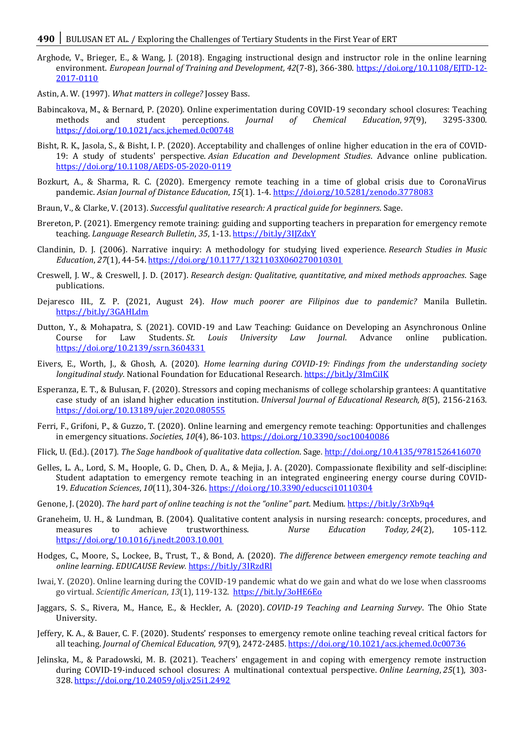- Arghode, V., Brieger, E., & Wang, J. (2018). Engaging instructional design and instructor role in the online learning environment. *European Journal of Training and Development, 42*(7-8), 366-380. https://doi.org/10.1108/EITD-12-[2017-0110](https://doi.org/10.1108/EJTD-12-2017-0110)
- Astin, A. W. (1997). *What matters in college?* Jossey Bass.
- Babincakova, M., & Bernard, P. (2020). Online experimentation during COVID-19 secondary school closures: Teaching methods and student perceptions. *Journal of Chemical Education*, *97*(9), 3295-3300. <https://doi.org/10.1021/acs.jchemed.0c00748>
- Bisht, R. K., Jasola, S., & Bisht, I. P. (2020). Acceptability and challenges of online higher education in the era of COVID-19: A study of students' perspective. *Asian Education and Development Studies*. Advance online publication. <https://doi.org/10.1108/AEDS-05-2020-0119>
- Bozkurt, A., & Sharma, R. C. (2020). Emergency remote teaching in a time of global crisis due to CoronaVirus pandemic. *Asian Journal of Distance Education*, *15*(1). 1-4.<https://doi.org/10.5281/zenodo.3778083>
- Braun, V., & Clarke, V. (2013). *Successful qualitative research: A practical guide for beginners*. Sage.
- Brereton, P. (2021). Emergency remote training: guiding and supporting teachers in preparation for emergency remote teaching. *Language Research Bulletin*, *35*, 1-13[. https://bit.ly/3IJZdxY](https://bit.ly/3IJZdxY)
- Clandinin, D. J. (2006). Narrative inquiry: A methodology for studying lived experience. *Research Studies in Music Education*, *27*(1), 44-54[. https://doi.org/10.1177/1321103X060270010301](https://doi.org/10.1177%2F1321103X060270010301)
- Creswell, J. W., & Creswell, J. D. (2017). *Research design: Qualitative, quantitative, and mixed methods approaches*. Sage publications.
- Dejaresco III., Z. P. (2021, August 24). *How much poorer are Filipinos due to pandemic?* Manila Bulletin. <https://bit.ly/3GAHLdm>
- Dutton, Y., & Mohapatra, S. (2021). COVID-19 and Law Teaching: Guidance on Developing an Asynchronous Online Course for Law Students. *St. Louis University Law Journal*. Advance online publication. <https://doi.org/10.2139/ssrn.3604331>
- Eivers, E., Worth, J., & Ghosh, A. (2020). *Home learning during COVID-19: Findings from the understanding society longitudinal study*. National Foundation for Educational Research. <https://bit.ly/3ImCiIK>
- Esperanza, E. T., & Bulusan, F. (2020). Stressors and coping mechanisms of college scholarship grantees: A quantitative case study of an island higher education institution. *Universal Journal of Educational Research, 8*(5), 2156-2163. <https://doi.org/10.13189/ujer.2020.080555>
- Ferri, F., Grifoni, P., & Guzzo, T. (2020). Online learning and emergency remote teaching: Opportunities and challenges in emergency situations. *Societies*, *10*(4), 86-103[. https://doi.org/10.3390/soc10040086](https://doi.org/10.3390/soc10040086)
- Flick, U. (Ed.). (2017). *The Sage handbook of qualitative data collection*. Sage[. http://doi.org/10.4135/9781526416070](http://dx.doi.org/10.4135/9781526416070)
- Gelles, L. A., Lord, S. M., Hoople, G. D., Chen, D. A., & Mejia, J. A. (2020). Compassionate flexibility and self-discipline: Student adaptation to emergency remote teaching in an integrated engineering energy course during COVID-19. *Education Sciences*, *10*(11), 304-326.<https://doi.org/10.3390/educsci10110304>
- Genone, J. (2020). *The hard part of online teaching is not the "online" part*. Medium*.* <https://bit.ly/3rXb9q4>
- Graneheim, U. H., & Lundman, B. (2004). Qualitative content analysis in nursing research: concepts, procedures, and measures to achieve trustworthiness. *Nurse Education Today, 24*(2), 105-112. <https://doi.org/10.1016/j.nedt.2003.10.001>
- Hodges, C., Moore, S., Lockee, B., Trust, T., & Bond, A. (2020). *The difference between emergency remote teaching and online learning*. *EDUCAUSE Review.* <https://bit.ly/3IRzdRl>
- Iwai, Y. (2020). Online learning during the COVID-19 pandemic what do we gain and what do we lose when classrooms go virtual. *Scientific American*, *13*(1), 119-132.<https://bit.ly/3oHE6Eo>
- Jaggars, S. S., Rivera, M., Hance, E., & Heckler, A. (2020). *COVID-19 Teaching and Learning Survey*. The Ohio State University.
- Jeffery, K. A., & Bauer, C. F. (2020). Students' responses to emergency remote online teaching reveal critical factors for all teaching. *Journal of Chemical Education*, *97*(9), 2472-2485[. https://doi.org/10.1021/acs.jchemed.0c00736](https://doi.org/10.1021/acs.jchemed.0c00736)
- Jelinska, M., & Paradowski, M. B. (2021). Teachers' engagement in and coping with emergency remote instruction during COVID-19-induced school closures: A multinational contextual perspective. *Online Learning*, *25*(1), 303- 328. <https://doi.org/10.24059/olj.v25i1.2492>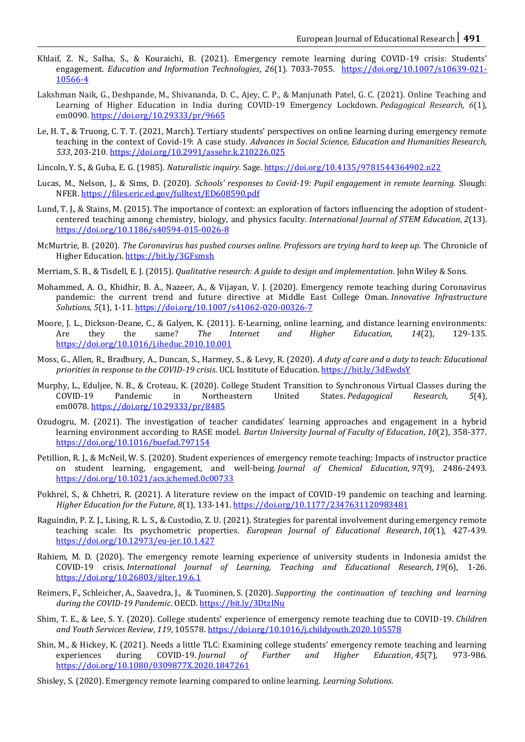- Khlaif, Z. N., Salha, S., & Kouraichi, B. (2021). Emergency remote learning during COVID-19 crisis: Students' engagement. *Education and Information Technologies*, *26*(1). 7033-7055. [https://doi.org/10.1007/s10639-021-](https://doi.org/10.1007/s10639-021-10566-4) [10566-4](https://doi.org/10.1007/s10639-021-10566-4)
- Lakshman Naik, G., Deshpande, M., Shivananda, D. C., Ajey, C. P., & Manjunath Patel, G. C. (2021). Online Teaching and Learning of Higher Education in India during COVID-19 Emergency Lockdown. *Pedagogical Research, 6*(1), em0090. <https://doi.org/10.29333/pr/9665>
- Le, H. T., & Truong, C. T. T. (2021, March). Tertiary students' perspectives on online learning during emergency remote teaching in the context of Covid-19: A case study. *Advances in Social Science, Education and Humanities Research, 533*, 203-210. [https://doi.org/10.2991/assehr.k.210226.025](https://dx.doi.org/10.2991/assehr.k.210226.025)
- Lincoln, Y. S., & Guba, E. G. (1985). *Naturalistic inquiry*. Sage[. https://doi.org/10.4135/9781544364902.n22](https://doi.org/10.4135/9781544364902.n22)
- Lucas, M., Nelson, J., & Sims, D. (2020). *Schools' responses to Covid-19: Pupil engagement in remote learning.* Slough: NFER[. https://files.eric.ed.gov/fulltext/ED608590.pdf](https://files.eric.ed.gov/fulltext/ED608590.pdf)
- Lund, T. J., & Stains, M. (2015). The importance of context: an exploration of factors influencing the adoption of studentcentered teaching among chemistry, biology, and physics faculty. *International Journal of STEM Education*, *2*(13). <https://doi.org/10.1186/s40594-015-0026-8>
- McMurtrie, B. (2020). *The Coronavirus has pushed courses online. Professors are trying hard to keep up*. The Chronicle of Higher Education[. https://bit.ly/3GFsmsh](https://bit.ly/3GFsmsh)
- Merriam, S. B., & Tisdell, E. J. (2015). *Qualitative research: A guide to design and implementation*. John Wiley & Sons.
- Mohammed, A. O., Khidhir, B. A., Nazeer, A., & Vijayan, V. J. (2020). Emergency remote teaching during Coronavirus pandemic: the current trend and future directive at Middle East College Oman. *Innovative Infrastructure Solutions*, *5*(1), 1-11[. https://doi.org/10.1007/s41062-020-00326-7](https://doi.org/10.1007/s41062-020-00326-7)
- Moore, J. L., Dickson-Deane, C., & Galyen, K. (2011). E-Learning, online learning, and distance learning environments: Are they the same? *The Internet and Higher Education*, *14*(2), 129-135. <https://doi.org/10.1016/j.iheduc.2010.10.001>
- Moss, G., Allen, R., Bradbury, A., Duncan, S., Harmey, S., & Levy, R. (2020). *A duty of care and a duty to teach: Educational priorities in response to the COVID-19 crisis*. UCL Institute of Education. <https://bit.ly/3dEwdsY>
- Murphy, L., Eduljee, N. B., & Croteau, K. (2020). College Student Transition to Synchronous Virtual Classes during the COVID-19 Pandemic in Northeastern United States. *Pedagogical Research, 5*(4), em0078. <https://doi.org/10.29333/pr/8485>
- Ozudogru, M. (2021). The investigation of teacher candidates' learning approaches and engagement in a hybrid learning environment according to RASE model. *Bartın University Journal of Faculty of Education*, *10*(2), 358-377. <https://doi.org/10.1016/buefad.797154>
- Petillion, R. J., & McNeil, W. S. (2020). Student experiences of emergency remote teaching: Impacts of instructor practice on student learning, engagement, and well-being. *Journal of Chemical Education*, *97*(9), 2486-2493. <https://doi.org/10.1021/acs.jchemed.0c00733>
- Pokhrel, S., & Chhetri, R. (2021). A literature review on the impact of COVID-19 pandemic on teaching and learning. *Higher Education for the Future*, *8*(1), 133-141.<https://doi.org/10.1177/2347631120983481>
- Raguindin, P. Z. J., Lising, R. L. S., & Custodio, Z. U. (2021). Strategies for parental involvement during emergency remote teaching scale: Its psychometric properties. *European Journal of Educational Research*, *10*(1), 427-439. <https://doi.org/10.12973/eu-jer.10.1.427>
- Rahiem, M. D. (2020). The emergency remote learning experience of university students in Indonesia amidst the COVID-19 crisis. *International Journal of Learning, Teaching and Educational Research*, *19*(6), 1-26. <https://doi.org/10.26803/ijlter.19.6.1>
- Reimers, F., Schleicher, A., Saavedra, J., & Tuominen, S. (2020). *Supporting the continuation of teaching and learning during the COVID-19 Pandemic*. OECD[. https://bit.ly/3DtzINu](https://bit.ly/3DtzINu)
- Shim, T. E., & Lee, S. Y. (2020). College students' experience of emergency remote teaching due to COVID-19. *Children and Youth Services Review*, *119*, 105578.<https://doi.org/10.1016/j.childyouth.2020.105578>
- Shin, M., & Hickey, K. (2021). Needs a little TLC: Examining college students' emergency remote teaching and learning experiences during COVID-19. *Journal of Further and Higher Education*, *45*(7), 973-986. <https://doi.org/10.1080/0309877X.2020.1847261>
- Shisley, S. (2020). Emergency remote learning compared to online learning. *Learning Solutions*.